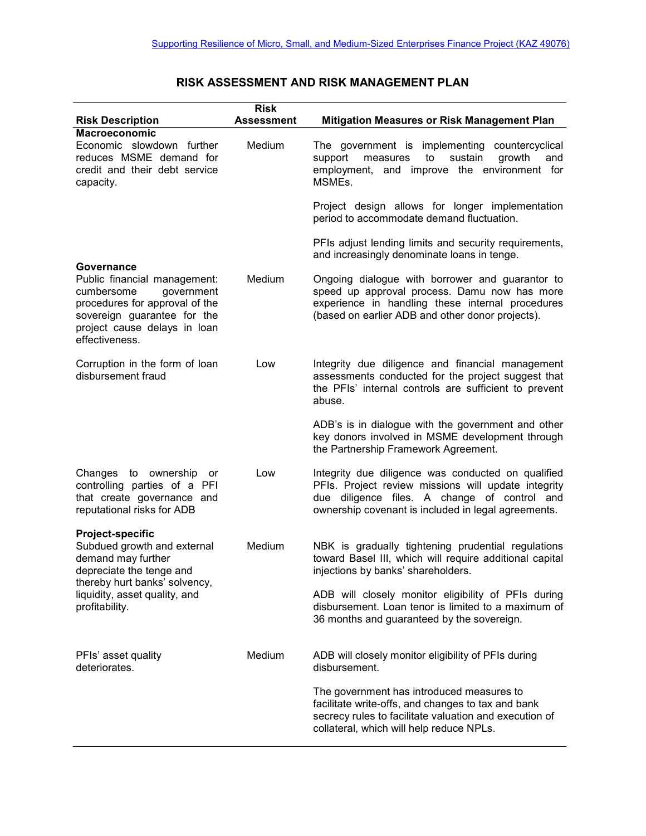|                                                                                                                                                                                       | <b>Risk</b>       |                                                                                                                                                                                                                  |
|---------------------------------------------------------------------------------------------------------------------------------------------------------------------------------------|-------------------|------------------------------------------------------------------------------------------------------------------------------------------------------------------------------------------------------------------|
| <b>Risk Description</b>                                                                                                                                                               | <b>Assessment</b> | <b>Mitigation Measures or Risk Management Plan</b>                                                                                                                                                               |
| <b>Macroeconomic</b><br>Economic slowdown further<br>reduces MSME demand for<br>credit and their debt service<br>capacity.<br>Governance                                              | Medium            | The government is implementing<br>countercyclical<br>sustain<br>growth<br>support<br>measures<br>to<br>and<br>and improve the environment for<br>employment,<br>MSMEs.                                           |
|                                                                                                                                                                                       |                   | Project design allows for longer implementation<br>period to accommodate demand fluctuation.                                                                                                                     |
|                                                                                                                                                                                       |                   | PFIs adjust lending limits and security requirements,<br>and increasingly denominate loans in tenge.                                                                                                             |
| Public financial management:<br>cumbersome<br>government<br>procedures for approval of the<br>sovereign guarantee for the<br>project cause delays in loan<br>effectiveness.           | Medium            | Ongoing dialogue with borrower and guarantor to<br>speed up approval process. Damu now has more<br>experience in handling these internal procedures<br>(based on earlier ADB and other donor projects).          |
| Corruption in the form of loan<br>disbursement fraud                                                                                                                                  | Low               | Integrity due diligence and financial management<br>assessments conducted for the project suggest that<br>the PFIs' internal controls are sufficient to prevent<br>abuse.                                        |
|                                                                                                                                                                                       |                   | ADB's is in dialogue with the government and other<br>key donors involved in MSME development through<br>the Partnership Framework Agreement.                                                                    |
| Changes to ownership<br>or<br>controlling parties of a PFI<br>that create governance and<br>reputational risks for ADB                                                                | Low               | Integrity due diligence was conducted on qualified<br>PFIs. Project review missions will update integrity<br>due diligence files. A change of control and<br>ownership covenant is included in legal agreements. |
| Project-specific<br>Subdued growth and external<br>demand may further<br>depreciate the tenge and<br>thereby hurt banks' solvency,<br>liquidity, asset quality, and<br>profitability. | Medium            | NBK is gradually tightening prudential regulations<br>toward Basel III, which will require additional capital<br>injections by banks' shareholders.                                                              |
|                                                                                                                                                                                       |                   | ADB will closely monitor eligibility of PFIs during<br>disbursement. Loan tenor is limited to a maximum of<br>36 months and guaranteed by the sovereign.                                                         |
| PFIs' asset quality<br>deteriorates.                                                                                                                                                  | Medium            | ADB will closely monitor eligibility of PFIs during<br>disbursement.                                                                                                                                             |
|                                                                                                                                                                                       |                   | The government has introduced measures to<br>facilitate write-offs, and changes to tax and bank<br>secrecy rules to facilitate valuation and execution of<br>collateral, which will help reduce NPLs.            |

## **RISK ASSESSMENT AND RISK MANAGEMENT PLAN**